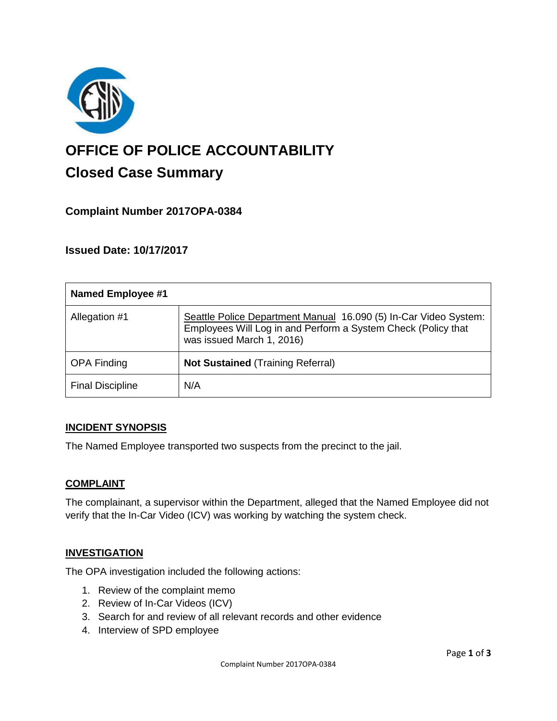

# **OFFICE OF POLICE ACCOUNTABILITY**

# **Closed Case Summary**

# **Complaint Number 2017OPA-0384**

# **Issued Date: 10/17/2017**

| <b>Named Employee #1</b> |                                                                                                                                                                |
|--------------------------|----------------------------------------------------------------------------------------------------------------------------------------------------------------|
| Allegation #1            | Seattle Police Department Manual 16.090 (5) In-Car Video System:<br>Employees Will Log in and Perform a System Check (Policy that<br>was issued March 1, 2016) |
| <b>OPA Finding</b>       | <b>Not Sustained (Training Referral)</b>                                                                                                                       |
| <b>Final Discipline</b>  | N/A                                                                                                                                                            |

# **INCIDENT SYNOPSIS**

The Named Employee transported two suspects from the precinct to the jail.

# **COMPLAINT**

The complainant, a supervisor within the Department, alleged that the Named Employee did not verify that the In-Car Video (ICV) was working by watching the system check.

#### **INVESTIGATION**

The OPA investigation included the following actions:

- 1. Review of the complaint memo
- 2. Review of In-Car Videos (ICV)
- 3. Search for and review of all relevant records and other evidence
- 4. Interview of SPD employee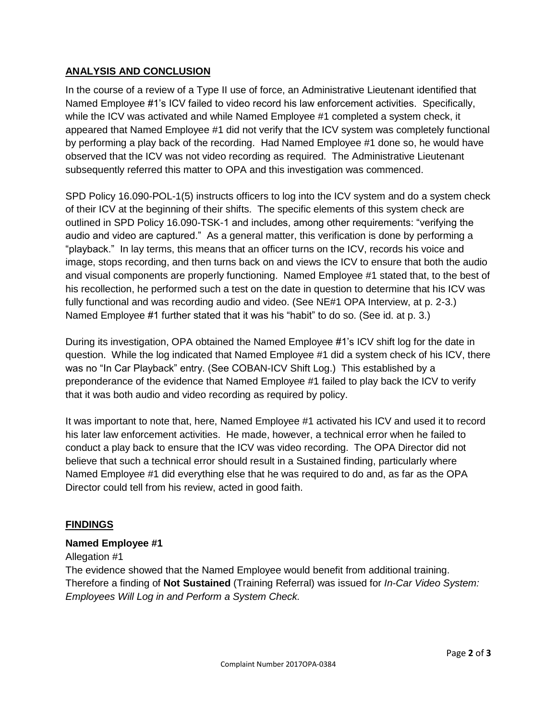# **ANALYSIS AND CONCLUSION**

In the course of a review of a Type II use of force, an Administrative Lieutenant identified that Named Employee #1's ICV failed to video record his law enforcement activities. Specifically, while the ICV was activated and while Named Employee #1 completed a system check, it appeared that Named Employee #1 did not verify that the ICV system was completely functional by performing a play back of the recording. Had Named Employee #1 done so, he would have observed that the ICV was not video recording as required. The Administrative Lieutenant subsequently referred this matter to OPA and this investigation was commenced.

SPD Policy 16.090-POL-1(5) instructs officers to log into the ICV system and do a system check of their ICV at the beginning of their shifts. The specific elements of this system check are outlined in SPD Policy 16.090-TSK-1 and includes, among other requirements: "verifying the audio and video are captured." As a general matter, this verification is done by performing a "playback." In lay terms, this means that an officer turns on the ICV, records his voice and image, stops recording, and then turns back on and views the ICV to ensure that both the audio and visual components are properly functioning. Named Employee #1 stated that, to the best of his recollection, he performed such a test on the date in question to determine that his ICV was fully functional and was recording audio and video. (See NE#1 OPA Interview, at p. 2-3.) Named Employee #1 further stated that it was his "habit" to do so. (See id. at p. 3.)

During its investigation, OPA obtained the Named Employee #1's ICV shift log for the date in question. While the log indicated that Named Employee #1 did a system check of his ICV, there was no "In Car Playback" entry. (See COBAN-ICV Shift Log.) This established by a preponderance of the evidence that Named Employee #1 failed to play back the ICV to verify that it was both audio and video recording as required by policy.

It was important to note that, here, Named Employee #1 activated his ICV and used it to record his later law enforcement activities. He made, however, a technical error when he failed to conduct a play back to ensure that the ICV was video recording. The OPA Director did not believe that such a technical error should result in a Sustained finding, particularly where Named Employee #1 did everything else that he was required to do and, as far as the OPA Director could tell from his review, acted in good faith.

#### **FINDINGS**

#### **Named Employee #1**

#### Allegation #1

The evidence showed that the Named Employee would benefit from additional training. Therefore a finding of **Not Sustained** (Training Referral) was issued for *In-Car Video System: Employees Will Log in and Perform a System Check.*